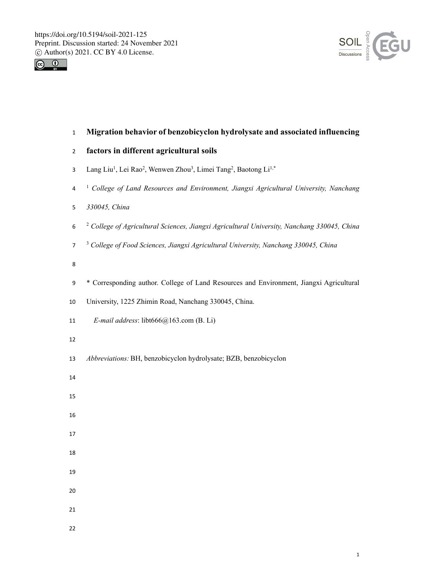



# **Migration behavior of benzobicyclon hydrolysate and associated influencing**

- **factors in different agricultural soils**
- 3 Lang Liu<sup>1</sup>, Lei Rao<sup>2</sup>, Wenwen Zhou<sup>3</sup>, Limei Tang<sup>2</sup>, Baotong Li<sup>1,\*</sup>
- <sup>1</sup> *College of Land Resources and Environment, Jiangxi Agricultural University, Nanchang*
- *330045, China*
- <sup>2</sup> *College of Agricultural Sciences, Jiangxi Agricultural University, Nanchang 330045, China*
- <sup>3</sup> *College of Food Sciences, Jiangxi Agricultural University, Nanchang 330045, China*
- 
- \* Corresponding author. College of Land Resources and Environment, Jiangxi Agricultural
- University, 1225 Zhimin Road, Nanchang 330045, China.
- *E-mail address*: libt666@163.com (B. Li)
- 
- *Abbreviations:* BH, benzobicyclon hydrolysate; BZB, benzobicyclon
- 
- 
- 
- 
- 
- 
- 
- 
- 
- 
-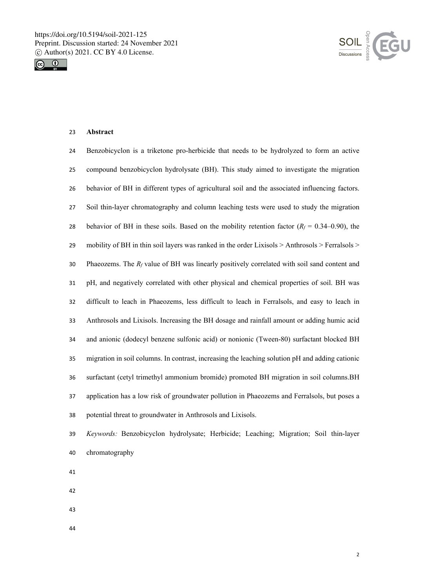



# **Abstract**

| 24 | Benzobicyclon is a triketone pro-herbicide that needs to be hydrolyzed to form an active                 |
|----|----------------------------------------------------------------------------------------------------------|
| 25 | compound benzobicyclon hydrolysate (BH). This study aimed to investigate the migration                   |
| 26 | behavior of BH in different types of agricultural soil and the associated influencing factors.           |
| 27 | Soil thin-layer chromatography and column leaching tests were used to study the migration                |
| 28 | behavior of BH in these soils. Based on the mobility retention factor ( $R_f = 0.34{\text -}0.90$ ), the |
| 29 | mobility of BH in thin soil layers was ranked in the order Lixisols > Anthrosols > Ferralsols >          |
| 30 | Phaeozems. The $R_f$ value of BH was linearly positively correlated with soil sand content and           |
| 31 | pH, and negatively correlated with other physical and chemical properties of soil. BH was                |
| 32 | difficult to leach in Phaeozems, less difficult to leach in Ferralsols, and easy to leach in             |
| 33 | Anthrosols and Lixisols. Increasing the BH dosage and rainfall amount or adding humic acid               |
| 34 | and anionic (dodecyl benzene sulfonic acid) or nonionic (Tween-80) surfactant blocked BH                 |
| 35 | migration in soil columns. In contrast, increasing the leaching solution pH and adding cationic          |
| 36 | surfactant (cetyl trimethyl ammonium bromide) promoted BH migration in soil columns. BH                  |
| 37 | application has a low risk of groundwater pollution in Phaeozems and Ferralsols, but poses a             |
| 38 | potential threat to groundwater in Anthrosols and Lixisols.                                              |

- *Keywords:* Benzobicyclon hydrolysate; Herbicide; Leaching; Migration; Soil thin-layer chromatography
- 
- 
- 
-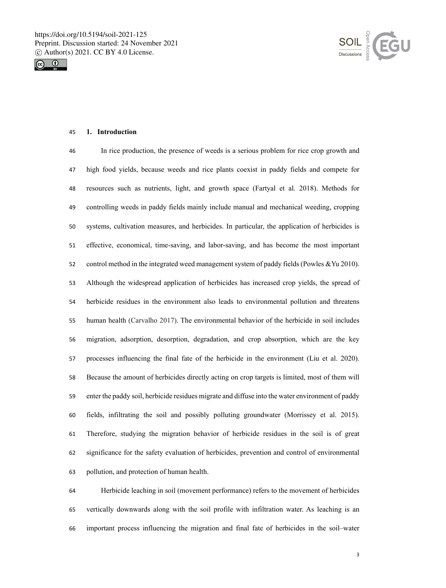



## **1. Introduction**

 In rice production, the presence of weeds is a serious problem for rice crop growth and high food yields, because weeds and rice plants coexist in paddy fields and compete for resources such as nutrients, light, and growth space (Fartyal et al. 2018). Methods for controlling weeds in paddy fields mainly include manual and mechanical weeding, cropping systems, cultivation measures, and herbicides. In particular, the application of herbicides is effective, economical, time-saving, and labor-saving, and has become the most important control method in the integrated weed management system of paddy fields (Powles &Yu 2010). Although the widespread application of herbicides has increased crop yields, the spread of herbicide residues in the environment also leads to environmental pollution and threatens human health (Carvalho 2017). The environmental behavior of the herbicide in soil includes migration, adsorption, desorption, degradation, and crop absorption, which are the key processes influencing the final fate of the herbicide in the environment (Liu et al. 2020). Because the amount of herbicides directly acting on crop targets is limited, most of them will enter the paddy soil, herbicide residues migrate and diffuse into the water environment of paddy fields, infiltrating the soil and possibly polluting groundwater (Morrissey et al. 2015). Therefore, studying the migration behavior of herbicide residues in the soil is of great significance for the safety evaluation of herbicides, prevention and control of environmental pollution, and protection of human health.

 Herbicide leaching in soil (movement performance) refers to the movement of herbicides vertically downwards along with the soil profile with infiltration water. As leaching is an important process influencing the migration and final fate of herbicides in the soil–water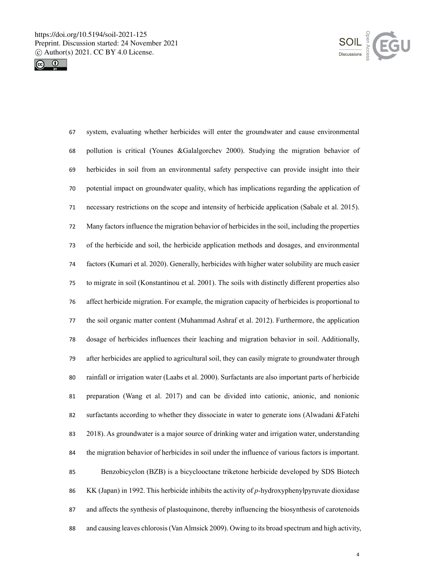



 system, evaluating whether herbicides will enter the groundwater and cause environmental pollution is critical (Younes &Galalgorchev 2000). Studying the migration behavior of herbicides in soil from an environmental safety perspective can provide insight into their potential impact on groundwater quality, which has implications regarding the application of necessary restrictions on the scope and intensity of herbicide application (Sabale et al. 2015). Many factors influence the migration behavior of herbicides in the soil, including the properties of the herbicide and soil, the herbicide application methods and dosages, and environmental factors (Kumari et al. 2020). Generally, herbicides with higher water solubility are much easier to migrate in soil (Konstantinou et al. 2001). The soils with distinctly different properties also affect herbicide migration. For example, the migration capacity of herbicides is proportional to the soil organic matter content (Muhammad Ashraf et al. 2012). Furthermore, the application dosage of herbicides influences their leaching and migration behavior in soil. Additionally, after herbicides are applied to agricultural soil, they can easily migrate to groundwater through rainfall or irrigation water (Laabs et al. 2000). Surfactants are also important parts of herbicide preparation (Wang et al. 2017) and can be divided into cationic, anionic, and nonionic surfactants according to whether they dissociate in water to generate ions (Alwadani &Fatehi 2018). As groundwater is a major source of drinking water and irrigation water, understanding the migration behavior of herbicides in soil under the influence of various factors is important. Benzobicyclon (BZB) is a bicyclooctane triketone herbicide developed by SDS Biotech KK (Japan) in 1992. This herbicide inhibits the activity of *p-*hydroxyphenylpyruvate dioxidase and affects the synthesis of plastoquinone, thereby influencing the biosynthesis of carotenoids and causing leaves chlorosis(Van Almsick 2009). Owing to its broad spectrum and high activity,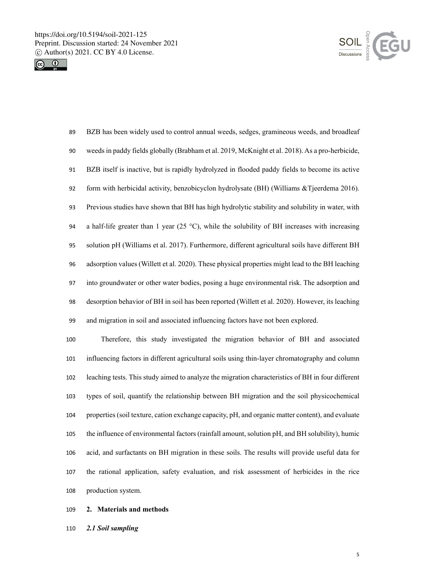



 BZB has been widely used to control annual weeds, sedges, gramineous weeds, and broadleaf weeds in paddy fields globally (Brabham et al. 2019, McKnight et al. 2018). As a pro-herbicide, BZB itself is inactive, but is rapidly hydrolyzed in flooded paddy fields to become its active form with herbicidal activity, benzobicyclon hydrolysate (BH) (Williams &Tjeerdema 2016). Previous studies have shown that BH has high hydrolytic stability and solubility in water, with 94 a half-life greater than 1 year (25 °C), while the solubility of BH increases with increasing solution pH (Williams et al. 2017). Furthermore, different agricultural soils have different BH adsorption values (Willett et al. 2020). These physical properties might lead to the BH leaching into groundwater or other water bodies, posing a huge environmental risk. The adsorption and desorption behavior of BH in soil has been reported (Willett et al. 2020). However, its leaching and migration in soil and associated influencing factors have not been explored.

 Therefore, this study investigated the migration behavior of BH and associated influencing factors in different agricultural soils using thin-layer chromatography and column leaching tests. This study aimed to analyze the migration characteristics of BH in four different types of soil, quantify the relationship between BH migration and the soil physicochemical properties (soil texture, cation exchange capacity, pH, and organic matter content), and evaluate the influence of environmental factors (rainfall amount, solution pH, and BH solubility), humic acid, and surfactants on BH migration in these soils. The results will provide useful data for the rational application, safety evaluation, and risk assessment of herbicides in the rice production system.

#### **2. Materials and methods**

*2.1 Soil sampling*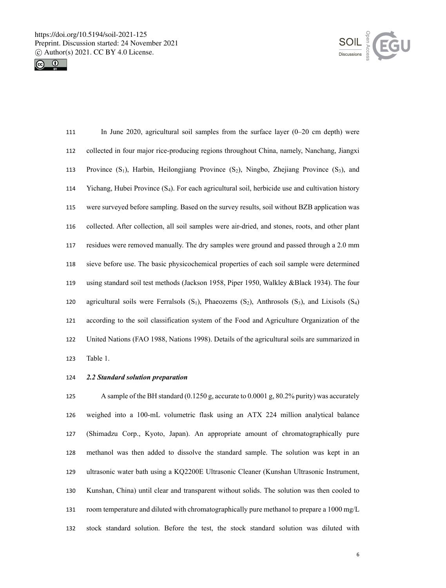



| 111 | In June 2020, agricultural soil samples from the surface layer $(0-20 \text{ cm depth})$ were              |
|-----|------------------------------------------------------------------------------------------------------------|
| 112 | collected in four major rice-producing regions throughout China, namely, Nanchang, Jiangxi                 |
| 113 | Province $(S_1)$ , Harbin, Heilongjiang Province $(S_2)$ , Ningbo, Zhejiang Province $(S_3)$ , and         |
| 114 | Yichang, Hubei Province $(S_4)$ . For each agricultural soil, herbicide use and cultivation history        |
| 115 | were surveyed before sampling. Based on the survey results, soil without BZB application was               |
| 116 | collected. After collection, all soil samples were air-dried, and stones, roots, and other plant           |
| 117 | residues were removed manually. The dry samples were ground and passed through a 2.0 mm                    |
| 118 | sieve before use. The basic physicochemical properties of each soil sample were determined                 |
| 119 | using standard soil test methods (Jackson 1958, Piper 1950, Walkley & Black 1934). The four                |
| 120 | agricultural soils were Ferralsols $(S_1)$ , Phaeozems $(S_2)$ , Anthrosols $(S_3)$ , and Lixisols $(S_4)$ |
| 121 | according to the soil classification system of the Food and Agriculture Organization of the                |
| 122 | United Nations (FAO 1988, Nations 1998). Details of the agricultural soils are summarized in               |
| 123 | Table 1.                                                                                                   |

### *2.2 Standard solution preparation*

 A sample of the BH standard (0.1250 g, accurate to 0.0001 g, 80.2% purity) was accurately weighed into a 100-mL volumetric flask using an ATX 224 million analytical balance (Shimadzu Corp., Kyoto, Japan). An appropriate amount of chromatographically pure methanol was then added to dissolve the standard sample. The solution was kept in an ultrasonic water bath using a KQ2200E Ultrasonic Cleaner (Kunshan Ultrasonic Instrument, Kunshan, China) until clear and transparent without solids. The solution was then cooled to room temperature and diluted with chromatographically pure methanol to prepare a 1000 mg/L stock standard solution. Before the test, the stock standard solution was diluted with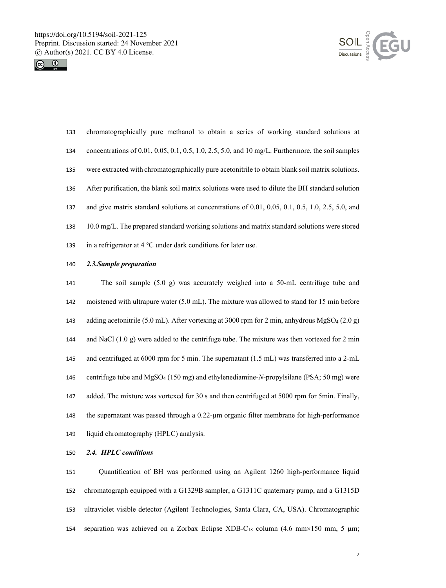



- chromatographically pure methanol to obtain a series of working standard solutions at concentrations of 0.01, 0.05, 0.1, 0.5, 1.0, 2.5, 5.0, and 10 mg/L. Furthermore, the soil samples were extracted with chromatographically pure acetonitrile to obtain blank soil matrix solutions. After purification, the blank soil matrix solutions were used to dilute the BH standard solution and give matrix standard solutions at concentrations of 0.01, 0.05, 0.1, 0.5, 1.0, 2.5, 5.0, and 10.0 mg/L. The prepared standard working solutions and matrix standard solutions were stored in a refrigerator at 4 ℃ under dark conditions for later use.
- *2.3.Sample preparation*

 The soil sample (5.0 g) was accurately weighed into a 50-mL centrifuge tube and moistened with ultrapure water (5.0 mL). The mixture was allowed to stand for 15 min before adding acetonitrile (5.0 mL). After vortexing at 3000 rpm for 2 min, anhydrous MgSO4 (2.0 g) 144 and NaCl  $(1.0 \text{ g})$  were added to the centrifuge tube. The mixture was then vortexed for 2 min and centrifuged at 6000 rpm for 5 min. The supernatant (1.5 mL) was transferred into a 2-mL centrifuge tube and MgSO4 (150 mg) and ethylenediamine-*N*-propylsilane (PSA; 50 mg) were added. The mixture was vortexed for 30 s and then centrifuged at 5000 rpm for 5min. Finally, the supernatant was passed through a 0.22-µm organic filter membrane for high-performance liquid chromatography (HPLC) analysis.

*2.4. HPLC conditions*

 Quantification of BH was performed using an Agilent 1260 high-performance liquid chromatograph equipped with a G1329B sampler, a G1311C quaternary pump, and a G1315D ultraviolet visible detector (Agilent Technologies, Santa Clara, CA, USA). Chromatographic 154 separation was achieved on a Zorbax Eclipse XDB-C<sub>18</sub> column (4.6 mm $\times$ 150 mm, 5  $\mu$ m;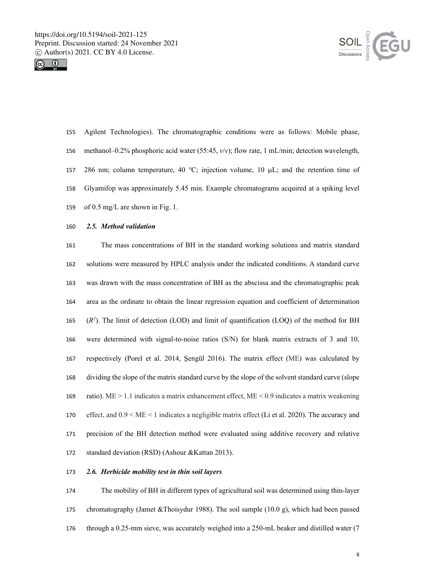



- Agilent Technologies). The chromatographic conditions were as follows: Mobile phase, methanol–0.2% phosphoric acid water (55:45, *v*/*v*); flow rate, 1 mL/min; detection wavelength, 157 286 nm; column temperature, 40 °C; injection volume, 10  $\mu$ L; and the retention time of Glyamifop was approximately 5.45 min. Example chromatograms acquired at a spiking level of 0.5 mg/L are shown in Fig. 1.
- *2.5. Method validation*

 The mass concentrations of BH in the standard working solutions and matrix standard solutions were measured by HPLC analysis under the indicated conditions. A standard curve was drawn with the mass concentration of BH as the abscissa and the chromatographic peak area as the ordinate to obtain the linear regression equation and coefficient of determination  $(R^2)$ . The limit of detection (LOD) and limit of quantification (LOQ) of the method for BH were determined with signal-to-noise ratios (S/N) for blank matrix extracts of 3 and 10, respectively (Porel et al. 2014, Şengül 2016). The matrix effect (ME) was calculated by dividing the slope of the matrix standard curve by the slope of the solvent standard curve (slope ratio). ME > 1.1 indicates a matrix enhancement effect, ME < 0.9 indicates a matrix weakening effect, and 0.9 < ME < 1 indicates a negligible matrix effect (Li et al. 2020). The accuracy and precision of the BH detection method were evaluated using additive recovery and relative standard deviation (RSD) (Ashour &Kattan 2013).

## *2.6. Herbicide mobility test in thin soil layers*

 The mobility of BH in different types of agricultural soil was determined using thin-layer chromatography (Jamet &Thoisydur 1988). The soil sample (10.0 g), which had been passed through a 0.25-mm sieve, was accurately weighed into a 250-mL beaker and distilled water (7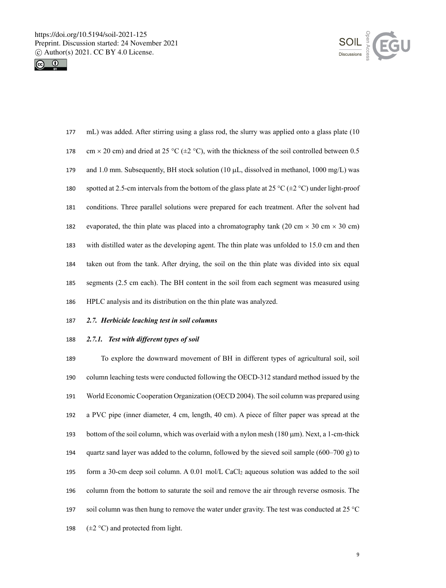



| 177 | mL) was added. After stirring using a glass rod, the slurry was applied onto a glass plate (10)            |
|-----|------------------------------------------------------------------------------------------------------------|
| 178 | cm $\times$ 20 cm) and dried at 25 °C ( $\pm$ 2 °C), with the thickness of the soil controlled between 0.5 |
| 179 | and 1.0 mm. Subsequently, BH stock solution (10 $\mu$ L, dissolved in methanol, 1000 mg/L) was             |
| 180 | spotted at 2.5-cm intervals from the bottom of the glass plate at 25 °C ( $\pm$ 2 °C) under light-proof    |
| 181 | conditions. Three parallel solutions were prepared for each treatment. After the solvent had               |
| 182 | evaporated, the thin plate was placed into a chromatography tank (20 cm $\times$ 30 cm $\times$ 30 cm)     |
| 183 | with distilled water as the developing agent. The thin plate was unfolded to 15.0 cm and then              |
| 184 | taken out from the tank. After drying, the soil on the thin plate was divided into six equal               |
| 185 | segments (2.5 cm each). The BH content in the soil from each segment was measured using                    |
| 186 | HPLC analysis and its distribution on the thin plate was analyzed.                                         |

## *2.7. Herbicide leaching test in soil columns*

## *2.7.1. Test with different types of soil*

 To explore the downward movement of BH in different types of agricultural soil, soil column leaching tests were conducted following the OECD-312 standard method issued by the World Economic Cooperation Organization (OECD 2004). The soil column was prepared using a PVC pipe (inner diameter, 4 cm, length, 40 cm). A piece of filter paper was spread at the 193 bottom of the soil column, which was overlaid with a nylon mesh ( $180 \mu m$ ). Next, a 1-cm-thick 194 quartz sand layer was added to the column, followed by the sieved soil sample  $(600-700 \text{ g})$  to 195 form a 30-cm deep soil column. A  $0.01$  mol/L CaCl<sub>2</sub> aqueous solution was added to the soil column from the bottom to saturate the soil and remove the air through reverse osmosis. The soil column was then hung to remove the water under gravity. The test was conducted at 25 °C  $(\pm 2 \degree C)$  and protected from light.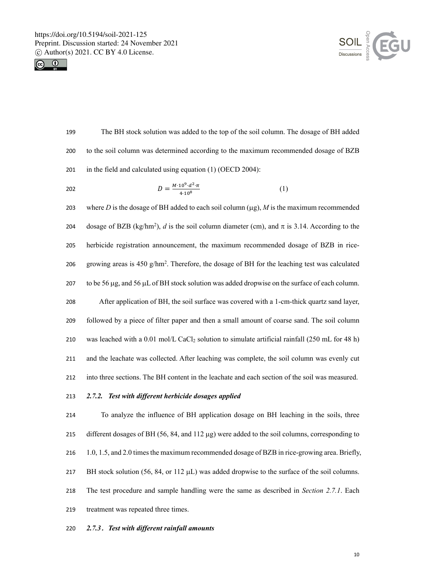



 The BH stock solution was added to the top of the soil column. The dosage of BH added to the soil column was determined according to the maximum recommended dosage of BZB in the field and calculated using equation (1) (OECD 2004):

202 
$$
D = \frac{M \cdot 10^{9} \cdot d^{2} \cdot \pi}{4 \cdot 10^{8}}
$$
 (1)

 where *D* is the dosage of BH added to each soil column (µg), *M* is the maximum recommended 204 dosage of BZB (kg/hm<sup>2</sup>), *d* is the soil column diameter (cm), and  $\pi$  is 3.14. According to the herbicide registration announcement, the maximum recommended dosage of BZB in rice-206 growing areas is 450 g/hm<sup>2</sup>. Therefore, the dosage of BH for the leaching test was calculated 207 to be 56  $\mu$ g, and 56  $\mu$ L of BH stock solution was added dropwise on the surface of each column. After application of BH, the soil surface was covered with a 1-cm-thick quartz sand layer, followed by a piece of filter paper and then a small amount of coarse sand. The soil column 210 was leached with a  $0.01 \text{ mol/L CaCl}_2$  solution to simulate artificial rainfall (250 mL for 48 h) and the leachate was collected. After leaching was complete, the soil column was evenly cut into three sections. The BH content in the leachate and each section of the soil was measured.

# *2.7.2. Test with different herbicide dosages applied*

 To analyze the influence of BH application dosage on BH leaching in the soils, three different dosages of BH (56, 84, and 112 µg) were added to the soil columns, corresponding to 1.0, 1.5, and 2.0 times the maximum recommended dosage of BZB in rice-growing area. Briefly, 217 BH stock solution (56, 84, or 112  $\mu$ L) was added dropwise to the surface of the soil columns. The test procedure and sample handling were the same as described in *Section 2.7.1*. Each treatment was repeated three times.

## *2.7.3*.*Test with different rainfall amounts*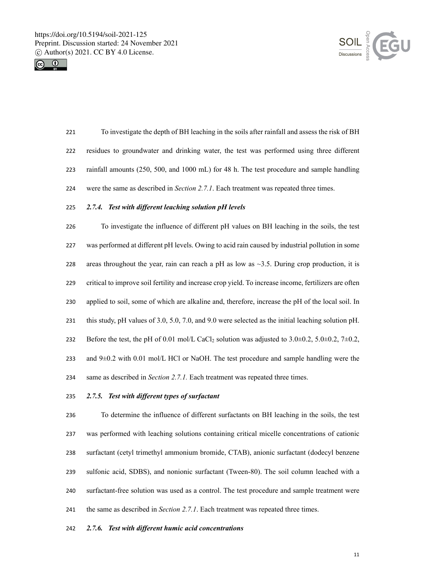



 To investigate the depth of BH leaching in the soils after rainfall and assess the risk of BH residues to groundwater and drinking water, the test was performed using three different rainfall amounts (250, 500, and 1000 mL) for 48 h. The test procedure and sample handling were the same as described in *Section 2.7.1*. Each treatment was repeated three times.

### *2.7.4. Test with different leaching solution pH levels*

 To investigate the influence of different pH values on BH leaching in the soils, the test was performed at different pH levels. Owing to acid rain caused by industrial pollution in some 228 areas throughout the year, rain can reach a pH as low as  $\sim$ 3.5. During crop production, it is critical to improve soil fertility and increase crop yield. To increase income, fertilizers are often applied to soil, some of which are alkaline and, therefore, increase the pH of the local soil. In this study, pH values of 3.0, 5.0, 7.0, and 9.0 were selected as the initial leaching solution pH. 232 Before the test, the pH of 0.01 mol/L CaCl<sub>2</sub> solution was adjusted to  $3.0\pm0.2$ ,  $5.0\pm0.2$ ,  $7\pm0.2$ , 233 and  $9\pm0.2$  with 0.01 mol/L HCl or NaOH. The test procedure and sample handling were the same as described in *Section 2.7.1.* Each treatment was repeated three times.

## *2.7.5. Test with different types of surfactant*

 To determine the influence of different surfactants on BH leaching in the soils, the test was performed with leaching solutions containing critical micelle concentrations of cationic surfactant (cetyl trimethyl ammonium bromide, CTAB), anionic surfactant (dodecyl benzene sulfonic acid, SDBS), and nonionic surfactant (Tween-80). The soil column leached with a surfactant-free solution was used as a control. The test procedure and sample treatment were the same as described in *Section 2.7.1*. Each treatment was repeated three times.

#### *2.7.6. Test with different humic acid concentrations*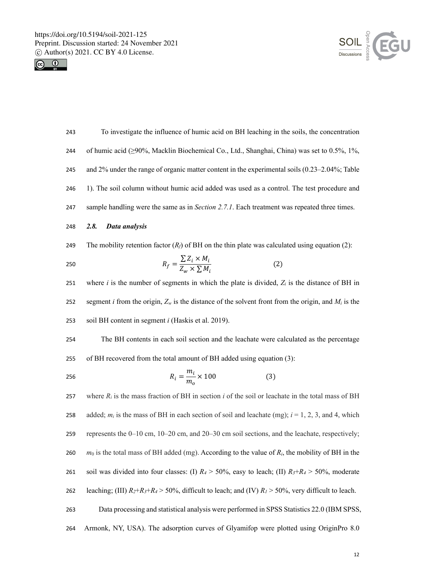



| 243 | To investigate the influence of humic acid on BH leaching in the soils, the concentration                       |
|-----|-----------------------------------------------------------------------------------------------------------------|
| 244 | of humic acid (≥90%, Macklin Biochemical Co., Ltd., Shanghai, China) was set to 0.5%, 1%,                       |
| 245 | and $2\%$ under the range of organic matter content in the experimental soils (0.23–2.04%; Table                |
| 246 | 1). The soil column without humic acid added was used as a control. The test procedure and                      |
| 247 | sample handling were the same as in <i>Section 2.7.1</i> . Each treatment was repeated three times.             |
| 248 | 2.8.<br>Data analysis                                                                                           |
| 249 | The mobility retention factor $(Ri)$ of BH on the thin plate was calculated using equation (2):                 |
| 250 | $R_f = \frac{\sum Z_i \times M_i}{Z_{\rm max} \times \sum M_i}$<br>(2)                                          |
| 251 | where $i$ is the number of segments in which the plate is divided, $Z_i$ is the distance of BH in               |
| 252 | segment <i>i</i> from the origin, $Z_w$ is the distance of the solvent from the origin, and $M_i$ is the        |
| 253 | soil BH content in segment <i>i</i> (Haskis et al. 2019).                                                       |
| 254 | The BH contents in each soil section and the leachate were calculated as the percentage                         |
| 255 | of BH recovered from the total amount of BH added using equation (3):                                           |
| 256 | $R_i = \frac{m_i}{m_i} \times 100$<br>(3)                                                                       |
| 257 | where $R_i$ is the mass fraction of BH in section $i$ of the soil or leachate in the total mass of BH           |
| 258 | added; $m_i$ is the mass of BH in each section of soil and leachate (mg); $i = 1, 2, 3$ , and 4, which          |
| 259 | represents the 0–10 cm, 10–20 cm, and 20–30 cm soil sections, and the leachate, respectively;                   |
| 260 | $m_0$ is the total mass of BH added (mg). According to the value of $R_i$ , the mobility of BH in the           |
| 261 | soil was divided into four classes: (I) $R_4 > 50\%$ , easy to leach; (II) $R_3 + R_4 > 50\%$ , moderate        |
| 262 | leaching; (III) $R_2 + R_3 + R_4 > 50\%$ , difficult to leach; and (IV) $R_1 > 50\%$ , very difficult to leach. |
| 263 |                                                                                                                 |
|     | Data processing and statistical analysis were performed in SPSS Statistics 22.0 (IBM SPSS,                      |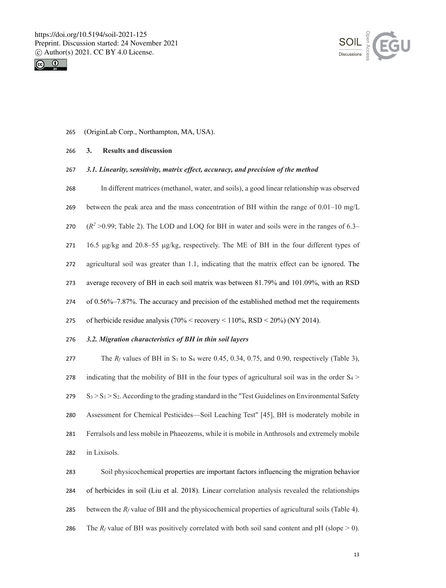



(OriginLab Corp., Northampton, MA, USA).

### **3. Results and discussion**

### *3.1. Linearity, sensitivity, matrix effect, accuracy, and precision of the method*

- In different matrices (methanol, water, and soils), a good linear relationship was observed
- 269 between the peak area and the mass concentration of BH within the range of  $0.01-10$  mg/L
- $($ *R<sup>2</sup>*  $>$ 0.99; Table 2). The LOD and LOQ for BH in water and soils were in the ranges of 6.3–

271 16.5  $\mu$ g/kg and 20.8–55  $\mu$ g/kg, respectively. The ME of BH in the four different types of

- agricultural soil was greater than 1.1, indicating that the matrix effect can be ignored. The
- average recovery of BH in each soil matrix was between 81.79% and 101.09%, with an RSD
- of 0.56%–7.87%. The accuracy and precision of the established method met the requirements
- of herbicide residue analysis (70% < recovery < 110%, RSD < 20%) (NY 2014).

### *3.2. Migration characteristics of BH in thin soil layers*

277 The  $R_f$  values of BH in  $S_1$  to  $S_4$  were 0.45, 0.34, 0.75, and 0.90, respectively (Table 3), 278 indicating that the mobility of BH in the four types of agricultural soil was in the order  $S_4$  S<sub>3</sub> > S<sub>1</sub> > S<sub>2</sub>. According to the grading standard in the "Test Guidelines on Environmental Safety Assessment for Chemical Pesticides—Soil Leaching Test" [45], BH is moderately mobile in Ferralsols and less mobile in Phaeozems, while it is mobile in Anthrosols and extremely mobile in Lixisols.

 Soil physicochemical properties are important factors influencing the migration behavior of herbicides in soil (Liu et al. 2018). Linear correlation analysis revealed the relationships between the *Rf* value of BH and the physicochemical properties of agricultural soils (Table 4). 286 The  $R_f$  value of BH was positively correlated with both soil sand content and pH (slope  $> 0$ ).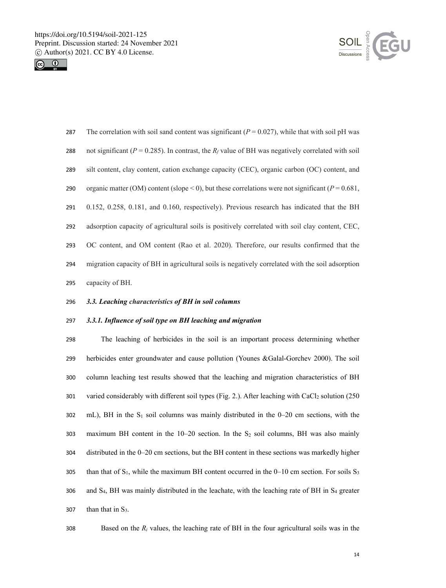



287 The correlation with soil sand content was significant  $(P = 0.027)$ , while that with soil pH was 288 not significant ( $P = 0.285$ ). In contrast, the  $R_f$  value of BH was negatively correlated with soil silt content, clay content, cation exchange capacity (CEC), organic carbon (OC) content, and 290 organic matter (OM) content (slope < 0), but these correlations were not significant ( $P = 0.681$ , 0.152, 0.258, 0.181, and 0.160, respectively). Previous research has indicated that the BH adsorption capacity of agricultural soils is positively correlated with soil clay content, CEC, OC content, and OM content (Rao et al. 2020). Therefore, our results confirmed that the migration capacity of BH in agricultural soils is negatively correlated with the soil adsorption capacity of BH.

## 296 *3.3. Leaching characteristics of BH in soil columns*

#### 297 *3.3.1. Influence of soil type on BH leaching and migration*

298 The leaching of herbicides in the soil is an important process determining whether 299 herbicides enter groundwater and cause pollution (Younes &Galal-Gorchev 2000). The soil 300 column leaching test results showed that the leaching and migration characteristics of BH 301 varied considerably with different soil types (Fig. 2.). After leaching with CaCl<sub>2</sub> solution (250)  $302 \text{ mL}$ ), BH in the S<sub>1</sub> soil columns was mainly distributed in the 0–20 cm sections, with the 303 maximum BH content in the  $10-20$  section. In the S<sub>2</sub> soil columns, BH was also mainly 304 distributed in the 0–20 cm sections, but the BH content in these sections was markedly higher 305 than that of  $S_1$ , while the maximum BH content occurred in the 0–10 cm section. For soils  $S_3$ 306 and S4, BH was mainly distributed in the leachate, with the leaching rate of BH in S4 greater 307 than that in  $S_3$ .

308 Based on the *Ri* values, the leaching rate of BH in the four agricultural soils was in the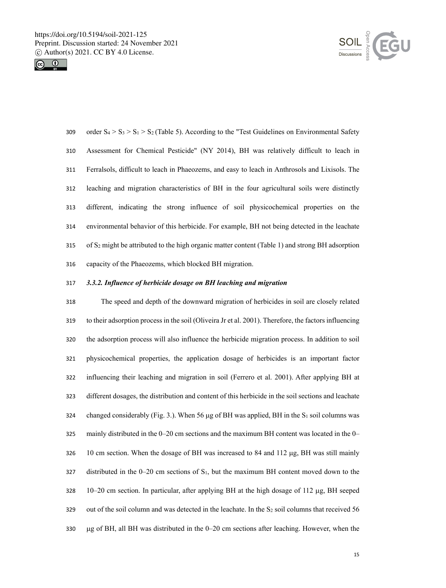



309 order  $S_4 > S_3 > S_1 > S_2$  (Table 5). According to the "Test Guidelines on Environmental Safety Assessment for Chemical Pesticide" (NY 2014), BH was relatively difficult to leach in Ferralsols, difficult to leach in Phaeozems, and easy to leach in Anthrosols and Lixisols. The leaching and migration characteristics of BH in the four agricultural soils were distinctly different, indicating the strong influence of soil physicochemical properties on the environmental behavior of this herbicide. For example, BH not being detected in the leachate 315 of  $S_2$  might be attributed to the high organic matter content (Table 1) and strong BH adsorption capacity of the Phaeozems, which blocked BH migration.

## *3.3.2. Influence of herbicide dosage on BH leaching and migration*

 The speed and depth of the downward migration of herbicides in soil are closely related to their adsorption process in the soil (Oliveira Jr et al. 2001). Therefore, the factors influencing the adsorption process will also influence the herbicide migration process. In addition to soil physicochemical properties, the application dosage of herbicides is an important factor influencing their leaching and migration in soil (Ferrero et al. 2001). After applying BH at different dosages, the distribution and content of this herbicide in the soil sections and leachate 324 changed considerably (Fig. 3.). When 56  $\mu$ g of BH was applied, BH in the S<sub>1</sub> soil columns was mainly distributed in the 0–20 cm sections and the maximum BH content was located in the 0– 10 cm section. When the dosage of BH was increased to 84 and 112 µg, BH was still mainly 327 distributed in the  $0-20$  cm sections of  $S_1$ , but the maximum BH content moved down to the 328 10–20 cm section. In particular, after applying BH at the high dosage of 112  $\mu$ g, BH seeped 329 out of the soil column and was detected in the leachate. In the  $S_2$  soil columns that received 56 µg of BH, all BH was distributed in the 0–20 cm sections after leaching. However, when the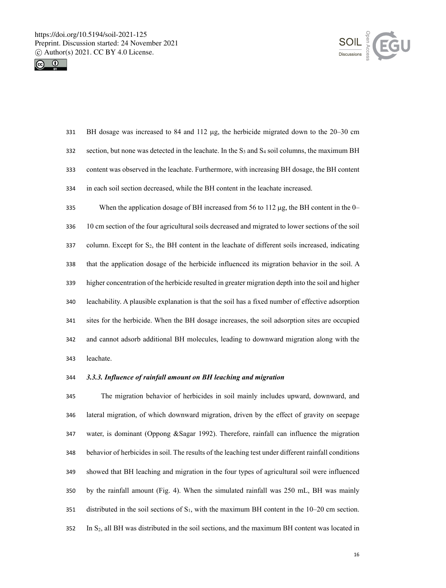



 BH dosage was increased to 84 and 112 µg, the herbicide migrated down to the 20–30 cm 332 section, but none was detected in the leachate. In the  $S_3$  and  $S_4$  soil columns, the maximum BH content was observed in the leachate. Furthermore, with increasing BH dosage, the BH content in each soil section decreased, while the BH content in the leachate increased.

 When the application dosage of BH increased from 56 to 112 µg, the BH content in the 0– 10 cm section of the four agricultural soils decreased and migrated to lower sections of the soil column. Except for S2, the BH content in the leachate of different soils increased, indicating that the application dosage of the herbicide influenced its migration behavior in the soil. A higher concentration of the herbicide resulted in greater migration depth into the soil and higher leachability. A plausible explanation is that the soil has a fixed number of effective adsorption sites for the herbicide. When the BH dosage increases, the soil adsorption sites are occupied and cannot adsorb additional BH molecules, leading to downward migration along with the leachate.

## *3.3.3. Influence of rainfall amount on BH leaching and migration*

 The migration behavior of herbicides in soil mainly includes upward, downward, and lateral migration, of which downward migration, driven by the effect of gravity on seepage water, is dominant (Oppong &Sagar 1992). Therefore, rainfall can influence the migration behavior of herbicides in soil. The results of the leaching test under different rainfall conditions showed that BH leaching and migration in the four types of agricultural soil were influenced by the rainfall amount (Fig. 4). When the simulated rainfall was 250 mL, BH was mainly 351 distributed in the soil sections of  $S_1$ , with the maximum BH content in the 10–20 cm section. In S2, all BH was distributed in the soil sections, and the maximum BH content was located in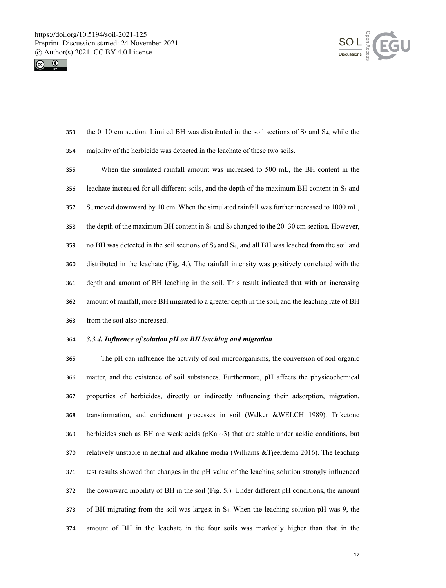



- 353 the 0–10 cm section. Limited BH was distributed in the soil sections of  $S_3$  and  $S_4$ , while the
- majority of the herbicide was detected in the leachate of these two soils.
- When the simulated rainfall amount was increased to 500 mL, the BH content in the 356 leachate increased for all different soils, and the depth of the maximum BH content in  $S_1$  and S2 moved downward by 10 cm. When the simulated rainfall was further increased to 1000 mL, 358 the depth of the maximum BH content in  $S_1$  and  $S_2$  changed to the 20–30 cm section. However, 359 no BH was detected in the soil sections of  $S_3$  and  $S_4$ , and all BH was leached from the soil and distributed in the leachate (Fig. 4.). The rainfall intensity was positively correlated with the depth and amount of BH leaching in the soil. This result indicated that with an increasing amount of rainfall, more BH migrated to a greater depth in the soil, and the leaching rate of BH from the soil also increased.

# *3.3.4. Influence of solution pH on BH leaching and migration*

 The pH can influence the activity of soil microorganisms, the conversion of soil organic matter, and the existence of soil substances. Furthermore, pH affects the physicochemical properties of herbicides, directly or indirectly influencing their adsorption, migration, transformation, and enrichment processes in soil (Walker &WELCH 1989). Triketone 369 herbicides such as BH are weak acids (pKa  $\sim$ 3) that are stable under acidic conditions, but relatively unstable in neutral and alkaline media (Williams &Tjeerdema 2016). The leaching test results showed that changes in the pH value of the leaching solution strongly influenced the downward mobility of BH in the soil (Fig. 5.). Under different pH conditions, the amount of BH migrating from the soil was largest in S4. When the leaching solution pH was 9, the amount of BH in the leachate in the four soils was markedly higher than that in the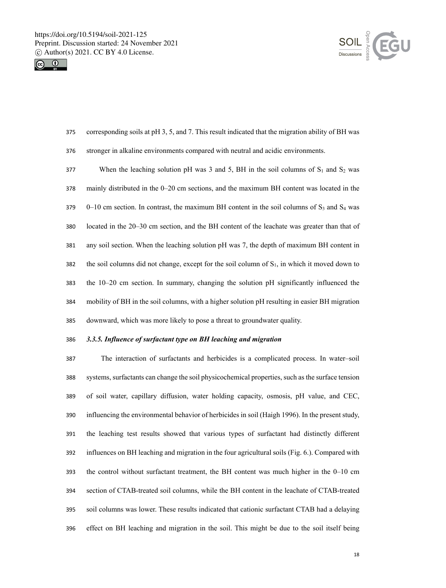



- corresponding soils at pH 3, 5, and 7. This result indicated that the migration ability of BH was stronger in alkaline environments compared with neutral and acidic environments.
- 377 When the leaching solution pH was 3 and 5, BH in the soil columns of  $S_1$  and  $S_2$  was mainly distributed in the 0–20 cm sections, and the maximum BH content was located in the 0–10 cm section. In contrast, the maximum BH content in the soil columns of S<sub>3</sub> and S<sub>4</sub> was located in the 20–30 cm section, and the BH content of the leachate was greater than that of any soil section. When the leaching solution pH was 7, the depth of maximum BH content in 382 the soil columns did not change, except for the soil column of  $S_1$ , in which it moved down to the 10–20 cm section. In summary, changing the solution pH significantly influenced the mobility of BH in the soil columns, with a higher solution pH resulting in easier BH migration downward, which was more likely to pose a threat to groundwater quality.

### *3.3.5. Influence of surfactant type on BH leaching and migration*

 The interaction of surfactants and herbicides is a complicated process. In water–soil systems, surfactants can change the soil physicochemical properties, such as the surface tension of soil water, capillary diffusion, water holding capacity, osmosis, pH value, and CEC, influencing the environmental behavior of herbicides in soil (Haigh 1996). In the present study, the leaching test results showed that various types of surfactant had distinctly different influences on BH leaching and migration in the four agricultural soils (Fig. 6.). Compared with the control without surfactant treatment, the BH content was much higher in the 0–10 cm section of CTAB-treated soil columns, while the BH content in the leachate of CTAB-treated soil columns was lower. These results indicated that cationic surfactant CTAB had a delaying effect on BH leaching and migration in the soil. This might be due to the soil itself being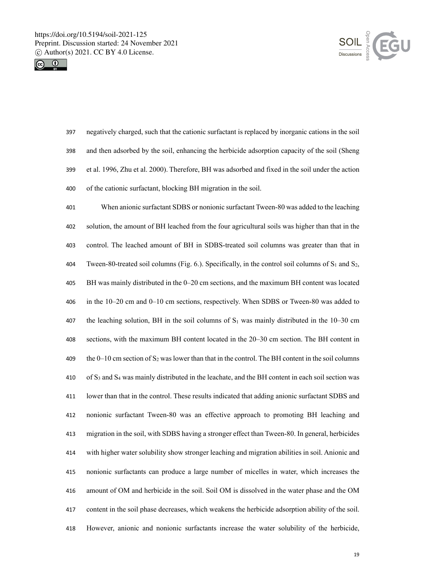



 negatively charged, such that the cationic surfactant is replaced by inorganic cations in the soil and then adsorbed by the soil, enhancing the herbicide adsorption capacity of the soil (Sheng et al. 1996, Zhu et al. 2000). Therefore, BH was adsorbed and fixed in the soil under the action of the cationic surfactant, blocking BH migration in the soil.

 When anionic surfactant SDBS or nonionic surfactant Tween-80 was added to the leaching solution, the amount of BH leached from the four agricultural soils was higher than that in the control. The leached amount of BH in SDBS-treated soil columns was greater than that in 404 Tween-80-treated soil columns (Fig. 6.). Specifically, in the control soil columns of  $S_1$  and  $S_2$ , BH was mainly distributed in the 0–20 cm sections, and the maximum BH content was located in the 10–20 cm and 0–10 cm sections, respectively. When SDBS or Tween-80 was added to 407 the leaching solution, BH in the soil columns of  $S_1$  was mainly distributed in the 10–30 cm sections, with the maximum BH content located in the 20–30 cm section. The BH content in 409 the 0–10 cm section of  $S_2$  was lower than that in the control. The BH content in the soil columns 410 of  $S_3$  and  $S_4$  was mainly distributed in the leachate, and the BH content in each soil section was lower than that in the control. These results indicated that adding anionic surfactant SDBS and nonionic surfactant Tween-80 was an effective approach to promoting BH leaching and migration in the soil, with SDBS having a stronger effect than Tween-80. In general, herbicides with higher water solubility show stronger leaching and migration abilities in soil. Anionic and nonionic surfactants can produce a large number of micelles in water, which increases the amount of OM and herbicide in the soil. Soil OM is dissolved in the water phase and the OM content in the soil phase decreases, which weakens the herbicide adsorption ability of the soil. However, anionic and nonionic surfactants increase the water solubility of the herbicide,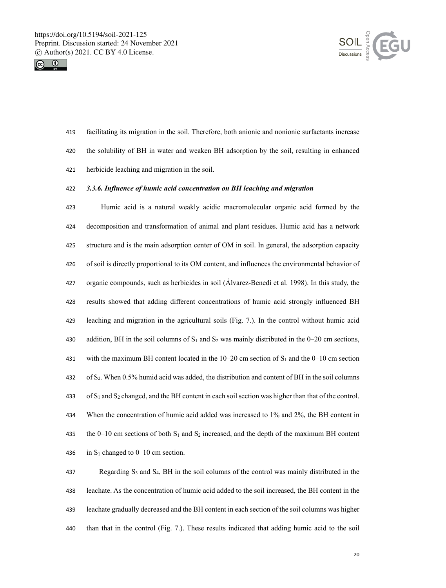



facilitating its migration in the soil. Therefore, both anionic and nonionic surfactants increase

- the solubility of BH in water and weaken BH adsorption by the soil, resulting in enhanced
- herbicide leaching and migration in the soil.

### *3.3.6. Influence of humic acid concentration on BH leaching and migration*

 Humic acid is a natural weakly acidic macromolecular organic acid formed by the decomposition and transformation of animal and plant residues. Humic acid has a network structure and is the main adsorption center of OM in soil. In general, the adsorption capacity of soil is directly proportional to its OM content, and influences the environmental behavior of organic compounds, such as herbicides in soil (Álvarez-Benedí et al. 1998). In this study, the results showed that adding different concentrations of humic acid strongly influenced BH leaching and migration in the agricultural soils (Fig. 7.). In the control without humic acid 430 addition, BH in the soil columns of  $S_1$  and  $S_2$  was mainly distributed in the 0–20 cm sections, 431 with the maximum BH content located in the  $10-20$  cm section of S<sub>1</sub> and the 0–10 cm section of S2. When 0.5% humid acid was added, the distribution and content of BH in the soil columns 433 of  $S_1$  and  $S_2$  changed, and the BH content in each soil section was higher than that of the control. When the concentration of humic acid added was increased to 1% and 2%, the BH content in 435 the 0–10 cm sections of both  $S_1$  and  $S_2$  increased, and the depth of the maximum BH content 436 in  $S_1$  changed to 0–10 cm section.

 Regarding S3 and S4, BH in the soil columns of the control was mainly distributed in the leachate. As the concentration of humic acid added to the soil increased, the BH content in the leachate gradually decreased and the BH content in each section of the soil columns was higher than that in the control (Fig. 7.). These results indicated that adding humic acid to the soil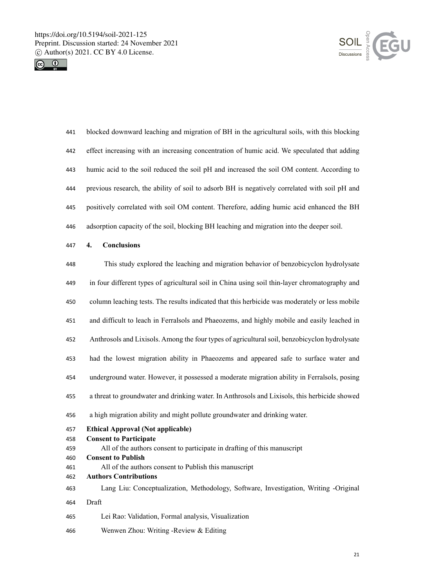



| 441        | blocked downward leaching and migration of BH in the agricultural soils, with this blocking    |  |  |  |  |  |  |  |  |
|------------|------------------------------------------------------------------------------------------------|--|--|--|--|--|--|--|--|
| 442        | effect increasing with an increasing concentration of humic acid. We speculated that adding    |  |  |  |  |  |  |  |  |
| 443        | humic acid to the soil reduced the soil pH and increased the soil OM content. According to     |  |  |  |  |  |  |  |  |
| 444        | previous research, the ability of soil to adsorb BH is negatively correlated with soil pH and  |  |  |  |  |  |  |  |  |
| 445        | positively correlated with soil OM content. Therefore, adding humic acid enhanced the BH       |  |  |  |  |  |  |  |  |
| 446        | adsorption capacity of the soil, blocking BH leaching and migration into the deeper soil.      |  |  |  |  |  |  |  |  |
| 447        | <b>Conclusions</b><br>4.                                                                       |  |  |  |  |  |  |  |  |
| 448        | This study explored the leaching and migration behavior of benzobicyclon hydrolysate           |  |  |  |  |  |  |  |  |
| 449        | in four different types of agricultural soil in China using soil thin-layer chromatography and |  |  |  |  |  |  |  |  |
| 450        | column leaching tests. The results indicated that this herbicide was moderately or less mobile |  |  |  |  |  |  |  |  |
| 451        | and difficult to leach in Ferralsols and Phaeozems, and highly mobile and easily leached in    |  |  |  |  |  |  |  |  |
| 452        | Anthrosols and Lixisols. Among the four types of agricultural soil, benzobicyclon hydrolysate  |  |  |  |  |  |  |  |  |
| 453        | had the lowest migration ability in Phaeozems and appeared safe to surface water and           |  |  |  |  |  |  |  |  |
| 454        | underground water. However, it possessed a moderate migration ability in Ferralsols, posing    |  |  |  |  |  |  |  |  |
| 455        | a threat to groundwater and drinking water. In Anthrosols and Lixisols, this herbicide showed  |  |  |  |  |  |  |  |  |
| 456        | a high migration ability and might pollute groundwater and drinking water.                     |  |  |  |  |  |  |  |  |
| 457        | <b>Ethical Approval (Not applicable)</b>                                                       |  |  |  |  |  |  |  |  |
| 458        | <b>Consent to Participate</b>                                                                  |  |  |  |  |  |  |  |  |
| 459        | All of the authors consent to participate in drafting of this manuscript                       |  |  |  |  |  |  |  |  |
| 460        | <b>Consent to Publish</b><br>All of the authors consent to Publish this manuscript             |  |  |  |  |  |  |  |  |
| 461<br>462 | <b>Authors Contributions</b>                                                                   |  |  |  |  |  |  |  |  |
| 463        | Lang Liu: Conceptualization, Methodology, Software, Investigation, Writing -Original           |  |  |  |  |  |  |  |  |
| 464        | Draft                                                                                          |  |  |  |  |  |  |  |  |
| 465        | Lei Rao: Validation, Formal analysis, Visualization                                            |  |  |  |  |  |  |  |  |
| 466        | Wenwen Zhou: Writing -Review & Editing                                                         |  |  |  |  |  |  |  |  |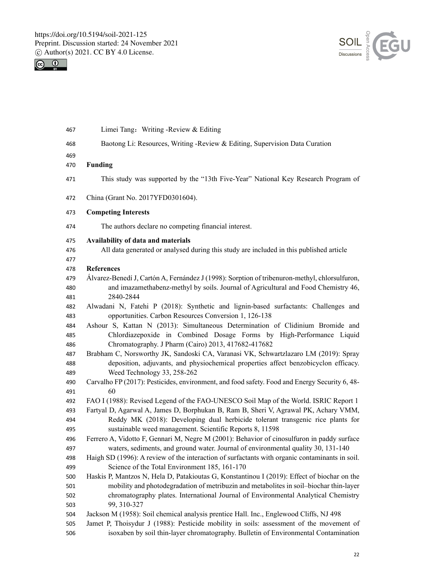



| 467               | Limei Tang: Writing -Review & Editing                                                                                                                                                                     |
|-------------------|-----------------------------------------------------------------------------------------------------------------------------------------------------------------------------------------------------------|
| 468               | Baotong Li: Resources, Writing -Review & Editing, Supervision Data Curation                                                                                                                               |
| 469               |                                                                                                                                                                                                           |
| 470               | <b>Funding</b>                                                                                                                                                                                            |
| 471               | This study was supported by the "13th Five-Year" National Key Research Program of                                                                                                                         |
| 472               | China (Grant No. 2017YFD0301604).                                                                                                                                                                         |
| 473               | <b>Competing Interests</b>                                                                                                                                                                                |
| 474               | The authors declare no competing financial interest.                                                                                                                                                      |
| 475<br>476<br>477 | Availability of data and materials<br>All data generated or analysed during this study are included in this published article                                                                             |
| 478               | <b>References</b>                                                                                                                                                                                         |
| 479<br>480<br>481 | Álvarez-Benedí J, Cartón A, Fernández J (1998): Sorption of tribenuron-methyl, chlorsulfuron,<br>and imazamethabenz-methyl by soils. Journal of Agricultural and Food Chemistry 46,<br>2840-2844          |
| 482               | Alwadani N, Fatehi P (2018): Synthetic and lignin-based surfactants: Challenges and                                                                                                                       |
| 483               | opportunities. Carbon Resources Conversion 1, 126-138                                                                                                                                                     |
| 484               | Ashour S, Kattan N (2013): Simultaneous Determination of Clidinium Bromide and                                                                                                                            |
| 485               | Chlordiazepoxide in Combined Dosage Forms by High-Performance Liquid                                                                                                                                      |
| 486               | Chromatography. J Pharm (Cairo) 2013, 417682-417682                                                                                                                                                       |
| 487<br>488<br>489 | Brabham C, Norsworthy JK, Sandoski CA, Varanasi VK, Schwartzlazaro LM (2019): Spray<br>deposition, adjuvants, and physiochemical properties affect benzobicyclon efficacy.<br>Weed Technology 33, 258-262 |
| 490               | Carvalho FP (2017): Pesticides, environment, and food safety. Food and Energy Security 6, 48-                                                                                                             |
| 491               | 60                                                                                                                                                                                                        |
| 492               | FAO I (1988): Revised Legend of the FAO-UNESCO Soil Map of the World. ISRIC Report 1                                                                                                                      |
| 493               | Fartyal D, Agarwal A, James D, Borphukan B, Ram B, Sheri V, Agrawal PK, Achary VMM,                                                                                                                       |
| 494               | Reddy MK (2018): Developing dual herbicide tolerant transgenic rice plants for                                                                                                                            |
| 495               | sustainable weed management. Scientific Reports 8, 11598                                                                                                                                                  |
| 496               | Ferrero A, Vidotto F, Gennari M, Negre M (2001): Behavior of cinosulfuron in paddy surface                                                                                                                |
| 497<br>498        | waters, sediments, and ground water. Journal of environmental quality 30, 131-140<br>Haigh SD (1996): A review of the interaction of surfactants with organic contaminants in soil.                       |
| 499               | Science of the Total Environment 185, 161-170                                                                                                                                                             |
| 500               | Haskis P, Mantzos N, Hela D, Patakioutas G, Konstantinou I (2019): Effect of biochar on the                                                                                                               |
| 501               | mobility and photodegradation of metribuzin and metabolites in soil-biochar thin-layer                                                                                                                    |
| 502               | chromatography plates. International Journal of Environmental Analytical Chemistry                                                                                                                        |
| 503               | 99, 310-327                                                                                                                                                                                               |
| 504               | Jackson M (1958): Soil chemical analysis prentice Hall. Inc., Englewood Cliffs, NJ 498                                                                                                                    |
| 505               | Jamet P, Thoisydur J (1988): Pesticide mobility in soils: assessment of the movement of                                                                                                                   |
| 506               | isoxaben by soil thin-layer chromatography. Bulletin of Environmental Contamination                                                                                                                       |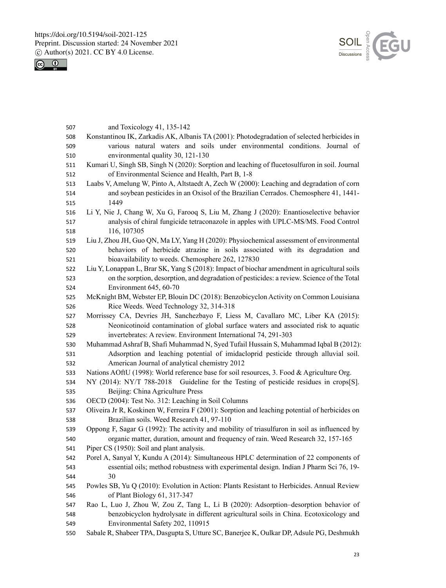



| 507 | and Toxicology 41, 135-142                                                                     |  |  |  |  |  |  |  |  |
|-----|------------------------------------------------------------------------------------------------|--|--|--|--|--|--|--|--|
| 508 | Konstantinou IK, Zarkadis AK, Albanis TA (2001): Photodegradation of selected herbicides in    |  |  |  |  |  |  |  |  |
| 509 | various natural waters and soils under environmental conditions. Journal of                    |  |  |  |  |  |  |  |  |
| 510 | environmental quality 30, 121-130                                                              |  |  |  |  |  |  |  |  |
| 511 | Kumari U, Singh SB, Singh N (2020): Sorption and leaching of flucetosulfuron in soil. Journal  |  |  |  |  |  |  |  |  |
| 512 | of Environmental Science and Health, Part B, 1-8                                               |  |  |  |  |  |  |  |  |
| 513 | Laabs V, Amelung W, Pinto A, Altstaedt A, Zech W (2000): Leaching and degradation of corn      |  |  |  |  |  |  |  |  |
| 514 | and soybean pesticides in an Oxisol of the Brazilian Cerrados. Chemosphere 41, 1441-           |  |  |  |  |  |  |  |  |
| 515 | 1449                                                                                           |  |  |  |  |  |  |  |  |
| 516 | Li Y, Nie J, Chang W, Xu G, Farooq S, Liu M, Zhang J (2020): Enantioselective behavior         |  |  |  |  |  |  |  |  |
| 517 | analysis of chiral fungicide tetraconazole in apples with UPLC-MS/MS. Food Control             |  |  |  |  |  |  |  |  |
| 518 | 116, 107305                                                                                    |  |  |  |  |  |  |  |  |
| 519 | Liu J, Zhou JH, Guo QN, Ma LY, Yang H (2020): Physiochemical assessment of environmental       |  |  |  |  |  |  |  |  |
| 520 | behaviors of herbicide atrazine in soils associated with its degradation and                   |  |  |  |  |  |  |  |  |
| 521 | bioavailability to weeds. Chemosphere 262, 127830                                              |  |  |  |  |  |  |  |  |
| 522 | Liu Y, Lonappan L, Brar SK, Yang S (2018): Impact of biochar amendment in agricultural soils   |  |  |  |  |  |  |  |  |
| 523 | on the sorption, desorption, and degradation of pesticides: a review. Science of the Total     |  |  |  |  |  |  |  |  |
| 524 | Environment 645, 60-70                                                                         |  |  |  |  |  |  |  |  |
| 525 | McKnight BM, Webster EP, Blouin DC (2018): Benzobicyclon Activity on Common Louisiana          |  |  |  |  |  |  |  |  |
| 526 | Rice Weeds. Weed Technology 32, 314-318                                                        |  |  |  |  |  |  |  |  |
| 527 | Morrissey CA, Devries JH, Sanchezbayo F, Liess M, Cavallaro MC, Liber KA (2015):               |  |  |  |  |  |  |  |  |
| 528 | Neonicotinoid contamination of global surface waters and associated risk to aquatic            |  |  |  |  |  |  |  |  |
| 529 | invertebrates: A review. Environment International 74, 291-303                                 |  |  |  |  |  |  |  |  |
| 530 | Muhammad Ashraf B, Shafi Muhammad N, Syed Tufail Hussain S, Muhammad Iqbal B (2012):           |  |  |  |  |  |  |  |  |
| 531 | Adsorption and leaching potential of imidacloprid pesticide through alluvial soil.             |  |  |  |  |  |  |  |  |
| 532 | American Journal of analytical chemistry 2012                                                  |  |  |  |  |  |  |  |  |
| 533 | Nations AOftU (1998): World reference base for soil resources, 3. Food & Agriculture Org.      |  |  |  |  |  |  |  |  |
| 534 | NY (2014): NY/T 788-2018 Guideline for the Testing of pesticide residues in crops[S].          |  |  |  |  |  |  |  |  |
| 535 | Beijing: China Agriculture Press                                                               |  |  |  |  |  |  |  |  |
| 536 | OECD (2004): Test No. 312: Leaching in Soil Columns                                            |  |  |  |  |  |  |  |  |
| 537 | Oliveira Jr R, Koskinen W, Ferreira F (2001): Sorption and leaching potential of herbicides on |  |  |  |  |  |  |  |  |
| 538 | Brazilian soils. Weed Research 41, 97-110                                                      |  |  |  |  |  |  |  |  |
| 539 | Oppong F, Sagar G (1992): The activity and mobility of triasulfuron in soil as influenced by   |  |  |  |  |  |  |  |  |
| 540 | organic matter, duration, amount and frequency of rain. Weed Research 32, 157-165              |  |  |  |  |  |  |  |  |
| 541 | Piper CS (1950): Soil and plant analysis.                                                      |  |  |  |  |  |  |  |  |
| 542 | Porel A, Sanyal Y, Kundu A (2014): Simultaneous HPLC determination of 22 components of         |  |  |  |  |  |  |  |  |
| 543 | essential oils; method robustness with experimental design. Indian J Pharm Sci 76, 19-         |  |  |  |  |  |  |  |  |
| 544 | 30                                                                                             |  |  |  |  |  |  |  |  |
| 545 | Powles SB, Yu Q (2010): Evolution in Action: Plants Resistant to Herbicides. Annual Review     |  |  |  |  |  |  |  |  |
| 546 | of Plant Biology 61, 317-347                                                                   |  |  |  |  |  |  |  |  |
| 547 | Rao L, Luo J, Zhou W, Zou Z, Tang L, Li B (2020): Adsorption-desorption behavior of            |  |  |  |  |  |  |  |  |
| 548 | benzobicyclon hydrolysate in different agricultural soils in China. Ecotoxicology and          |  |  |  |  |  |  |  |  |
| 549 | Environmental Safety 202, 110915                                                               |  |  |  |  |  |  |  |  |
| 550 | Sabale R, Shabeer TPA, Dasgupta S, Utture SC, Banerjee K, Oulkar DP, Adsule PG, Deshmukh       |  |  |  |  |  |  |  |  |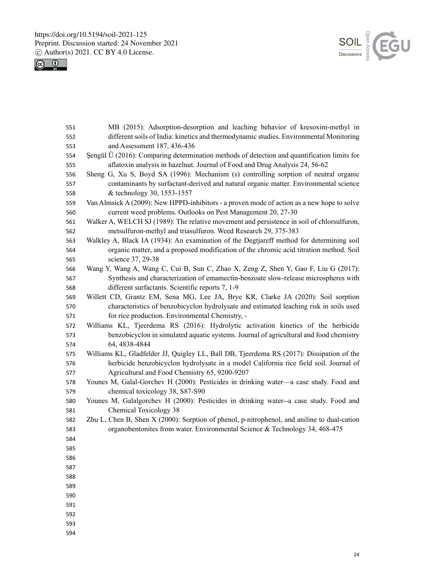



| 551 | MB (2015): Adsorption-desorption and leaching behavior of kresoxim-methyl in                         |
|-----|------------------------------------------------------------------------------------------------------|
| 552 | different soils of India: kinetics and thermodynamic studies. Environmental Monitoring               |
| 553 | and Assessment 187, 436-436                                                                          |
| 554 | Şengül $\ddot{U}$ (2016): Comparing determination methods of detection and quantification limits for |
| 555 | aflatoxin analysis in hazelnut. Journal of Food and Drug Analysis 24, 56-62                          |
| 556 | Sheng G, Xu S, Boyd SA (1996): Mechanism (s) controlling sorption of neutral organic                 |
| 557 | contaminants by surfactant-derived and natural organic matter. Environmental science                 |
| 558 | & technology 30, 1553-1557                                                                           |
| 559 | Van Almsick A (2009): New HPPD-inhibitors - a proven mode of action as a new hope to solve           |
| 560 | current weed problems. Outlooks on Pest Management 20, 27-30                                         |
| 561 | Walker A, WELCH SJ (1989): The relative movement and persistence in soil of chlorsulfuron,           |
| 562 | metsulfuron-methyl and triasulfuron. Weed Research 29, 375-383                                       |
| 563 | Walkley A, Black IA (1934): An examination of the Degtjareff method for determining soil             |
| 564 | organic matter, and a proposed modification of the chromic acid titration method. Soil               |
| 565 | science 37, 29-38                                                                                    |
| 566 | Wang Y, Wang A, Wang C, Cui B, Sun C, Zhao X, Zeng Z, Shen Y, Gao F, Liu G (2017):                   |
| 567 | Synthesis and characterization of emamectin-benzoate slow-release microspheres with                  |
| 568 | different surfactants. Scientific reports 7, 1-9                                                     |
| 569 | Willett CD, Grantz EM, Sena MG, Lee JA, Brye KR, Clarke JA (2020): Soil sorption                     |
| 570 | characteristics of benzobicyclon hydrolysate and estimated leaching risk in soils used               |
| 571 | for rice production. Environmental Chemistry, -                                                      |
| 572 | Williams KL, Tjeerdema RS (2016): Hydrolytic activation kinetics of the herbicide                    |
| 573 | benzobicyclon in simulated aquatic systems. Journal of agricultural and food chemistry               |
| 574 | 64, 4838-4844                                                                                        |
| 575 | Williams KL, Gladfelder JJ, Quigley LL, Ball DB, Tjeerdema RS (2017): Dissipation of the             |
| 576 | herbicide benzobicyclon hydrolysate in a model California rice field soil. Journal of                |
| 577 | Agricultural and Food Chemistry 65, 9200-9207                                                        |
| 578 | Younes M, Galal-Gorchev H (2000): Pesticides in drinking water—a case study. Food and                |
| 579 | chemical toxicology 38, S87-S90                                                                      |
| 580 | Younes M, Galalgorchev H (2000): Pesticides in drinking water--a case study. Food and                |
| 581 | Chemical Toxicology 38                                                                               |
| 582 | Zhu L, Chen B, Shen X (2000): Sorption of phenol, p-nitrophenol, and aniline to dual-cation          |
| 583 | organobentonites from water. Environmental Science & Technology 34, 468-475                          |
| 584 |                                                                                                      |
| 585 |                                                                                                      |
| 586 |                                                                                                      |
| 587 |                                                                                                      |
| 588 |                                                                                                      |
| 589 |                                                                                                      |
| 590 |                                                                                                      |
| 591 |                                                                                                      |
| 592 |                                                                                                      |
| 593 |                                                                                                      |
| 594 |                                                                                                      |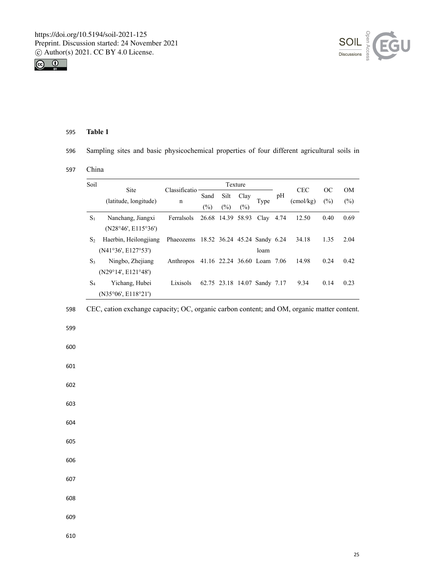



596 Sampling sites and basic physicochemical properties of four different agricultural soils in

# 597 China

| Soil                          |                       | Texture<br>Classificatio |                       |                   |             |                              |    | <b>CEC</b>         | OC   | <b>OM</b> |
|-------------------------------|-----------------------|--------------------------|-----------------------|-------------------|-------------|------------------------------|----|--------------------|------|-----------|
| Site<br>(latitude, longitude) |                       | n                        | Sand<br>$\frac{1}{2}$ | Silt<br>(%)       | Clay<br>(%) | Type                         | pH | $(\text{cmol/kg})$ | (%)  | $(\%)$    |
| $S_1$                         | Nanchang, Jiangxi     | Ferralsols               |                       | 26.68 14.39 58.93 |             | Clay $4.74$                  |    | 12.50              | 0.40 | 0.69      |
|                               | (N28°46', E115°36')   |                          |                       |                   |             |                              |    |                    |      |           |
| S <sub>2</sub>                | Haerbin, Heilongjiang | Phaeozems                |                       |                   |             | 18.52 36.24 45.24 Sandy 6.24 |    | 34.18              | 1.35 | 2.04      |
|                               | (N41°36', E127°53')   |                          |                       |                   |             | loam                         |    |                    |      |           |
| $S_3$                         | Ningbo, Zhejiang      | Anthropos                |                       |                   |             | 41.16 22.24 36.60 Loam 7.06  |    | 14.98              | 0.24 | 0.42      |
|                               | (N29°14', E121°48')   |                          |                       |                   |             |                              |    |                    |      |           |
| S <sub>4</sub>                | Yichang, Hubei        | Lixisols                 |                       |                   |             | 62.75 23.18 14.07 Sandy 7.17 |    | 9.34               | 0.14 | 0.23      |
|                               | (N35°06', E118°21')   |                          |                       |                   |             |                              |    |                    |      |           |

# 598 CEC, cation exchange capacity; OC, organic carbon content; and OM, organic matter content.

599

600

601

602

- 603
- 604
- 605
- 606
- 607
- 608
- 609
-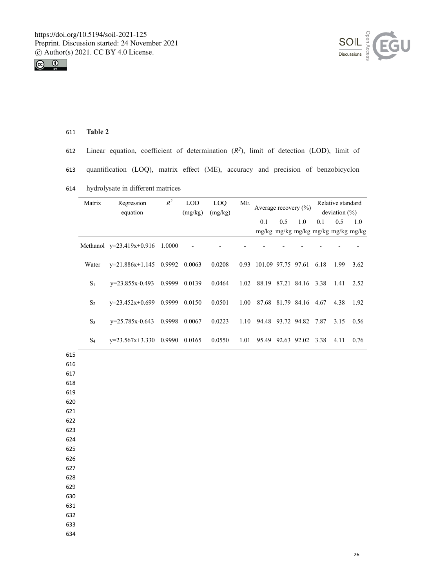



- 612 Linear equation, coefficient of determination  $(R^2)$ , limit of detection (LOD), limit of
- 613 quantification (LOQ), matrix effect (ME), accuracy and precision of benzobicyclon
- 614 hydrolysate in different matrices

|            | Matrix         | Regression                      | $\mathbb{R}^2$<br><b>LOD</b><br>LOQ<br><b>ME</b><br>Average recovery $(\% )$ |         |         | Relative standard |                              |     |                        |                  |      |                               |
|------------|----------------|---------------------------------|------------------------------------------------------------------------------|---------|---------|-------------------|------------------------------|-----|------------------------|------------------|------|-------------------------------|
|            |                | equation                        |                                                                              | (mg/kg) | (mg/kg) |                   |                              |     |                        | deviation $(\%)$ |      |                               |
|            |                |                                 |                                                                              |         |         |                   | 0.1                          | 0.5 | 1.0                    | 0.1              | 0.5  | 1.0                           |
|            |                |                                 |                                                                              |         |         |                   |                              |     |                        |                  |      | mg/kg mg/kg mg/kg mg/kg mg/kg |
|            |                | Methanol y=23.419x+0.916 1.0000 |                                                                              |         |         |                   |                              |     |                        |                  |      |                               |
|            | Water          | $y=21.886x+1.145$ 0.9992 0.0063 |                                                                              |         | 0.0208  |                   | 0.93 101.09 97.75 97.61 6.18 |     |                        |                  | 1.99 | 3.62                          |
|            | S <sub>1</sub> | y=23.855x-0.493                 | 0.9999                                                                       | 0.0139  | 0.0464  |                   | 1.02 88.19 87.21 84.16 3.38  |     |                        |                  | 1.41 | 2.52                          |
|            | $S_2$          | $y=23.452x+0.699$ 0.9999 0.0150 |                                                                              |         | 0.0501  | 1.00              | 87.68 81.79 84.16 4.67       |     |                        |                  | 4.38 | 1.92                          |
|            | $S_3$          | y=25.785x-0.643                 | 0.9998                                                                       | 0.0067  | 0.0223  | 1.10              |                              |     | 94.48 93.72 94.82 7.87 |                  | 3.15 | 0.56                          |
|            | $S_4$          | $y=23.567x+3.330$ 0.9990 0.0165 |                                                                              |         | 0.0550  | 1.01              |                              |     | 95.49 92.63 92.02 3.38 |                  | 4.11 | 0.76                          |
| 615        |                |                                 |                                                                              |         |         |                   |                              |     |                        |                  |      |                               |
| 616        |                |                                 |                                                                              |         |         |                   |                              |     |                        |                  |      |                               |
| 617        |                |                                 |                                                                              |         |         |                   |                              |     |                        |                  |      |                               |
| 618        |                |                                 |                                                                              |         |         |                   |                              |     |                        |                  |      |                               |
| 619<br>620 |                |                                 |                                                                              |         |         |                   |                              |     |                        |                  |      |                               |
| 621        |                |                                 |                                                                              |         |         |                   |                              |     |                        |                  |      |                               |
| 622        |                |                                 |                                                                              |         |         |                   |                              |     |                        |                  |      |                               |
| 623        |                |                                 |                                                                              |         |         |                   |                              |     |                        |                  |      |                               |
| 624        |                |                                 |                                                                              |         |         |                   |                              |     |                        |                  |      |                               |
| 625        |                |                                 |                                                                              |         |         |                   |                              |     |                        |                  |      |                               |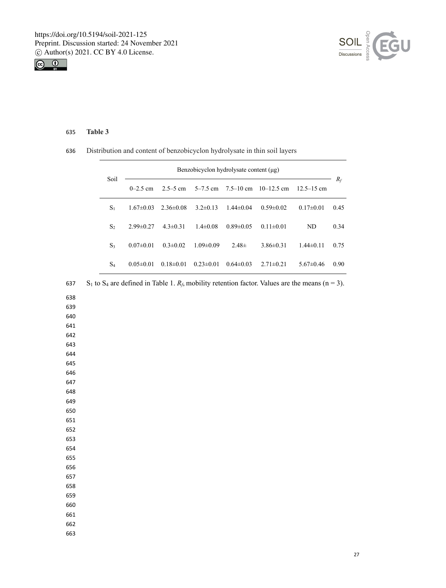



# Distribution and content of benzobicyclon hydrolysate in thin soil layers

| Soil           | Benzobicyclon hydrolysate content $(\mu g)$ |                 |                 |                 |                 |                 |       |  |  |
|----------------|---------------------------------------------|-----------------|-----------------|-----------------|-----------------|-----------------|-------|--|--|
|                | $0 - 2.5$ cm                                | $2.5 - 5$ cm    | $5 - 7.5$ cm    | $7.5 - 10$ cm   | $10-12.5$ cm    | $12.5 - 15$ cm  | $R_f$ |  |  |
| $S_1$          | $1.67 \pm 0.03$                             | $2.36\pm0.08$   | $3.2 \pm 0.13$  | $1.44 \pm 0.04$ | $0.59 \pm 0.02$ | $0.17 \pm 0.01$ | 0.45  |  |  |
| S <sub>2</sub> | $2.99 \pm 0.27$                             | $4.3 \pm 0.31$  | $1.4 \pm 0.08$  | $0.89 \pm 0.05$ | $0.11 \pm 0.01$ | ND.             | 0.34  |  |  |
| $S_3$          | $0.07 \pm 0.01$                             | $0.3 \pm 0.02$  | $1.09 \pm 0.09$ | $2.48\pm$       | $3.86\pm0.31$   | $1.44 \pm 0.11$ | 0.75  |  |  |
| $S_4$          | $0.05 \pm 0.01$                             | $0.18 \pm 0.01$ | $0.23 \pm 0.01$ | $0.64 \pm 0.03$ | $2.71 \pm 0.21$ | $5.67 \pm 0.46$ | 0.90  |  |  |

| 637 | S <sub>1</sub> to S <sub>4</sub> are defined in Table 1. $R_f$ , mobility retention factor. Values are the means (n = 3). |
|-----|---------------------------------------------------------------------------------------------------------------------------|
| 638 |                                                                                                                           |
| 639 |                                                                                                                           |
| 640 |                                                                                                                           |
| 641 |                                                                                                                           |
| 642 |                                                                                                                           |
| 643 |                                                                                                                           |
| 644 |                                                                                                                           |
| 645 |                                                                                                                           |
| 646 |                                                                                                                           |
| 647 |                                                                                                                           |
| 648 |                                                                                                                           |
| 649 |                                                                                                                           |
| 650 |                                                                                                                           |
| 651 |                                                                                                                           |
| 652 |                                                                                                                           |
| 653 |                                                                                                                           |
| 654 |                                                                                                                           |
| 655 |                                                                                                                           |
| 656 |                                                                                                                           |
| 657 |                                                                                                                           |
| 658 |                                                                                                                           |
| 659 |                                                                                                                           |
| 660 |                                                                                                                           |
| 661 |                                                                                                                           |
| 662 |                                                                                                                           |
| 663 |                                                                                                                           |
|     |                                                                                                                           |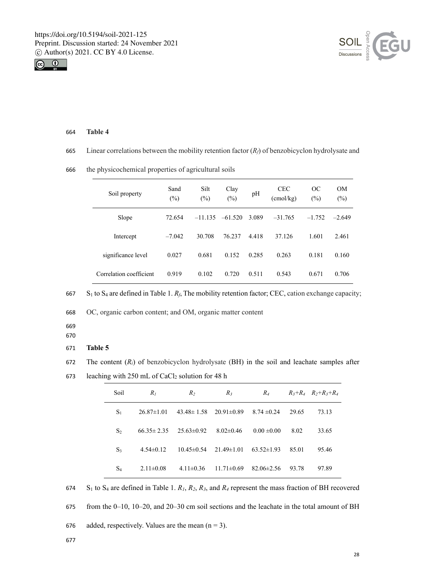



665 Linear correlations between the mobility retention factor  $(R_f)$  of benzobicyclon hydrolysate and

|  | Soil property           | Sand<br>(%) | Silt<br>$(\%)$ | Clay<br>(%) | pH    | <b>CEC</b><br>(cmol/kg) | OC<br>(%) | <b>OM</b><br>$(\%)$ |
|--|-------------------------|-------------|----------------|-------------|-------|-------------------------|-----------|---------------------|
|  | Slope                   | 72.654      | $-11.135$      | $-61.520$   | 3.089 | $-31.765$               | $-1.752$  | $-2.649$            |
|  | Intercept               | $-7.042$    | 30.708         | 76.237      | 4.418 | 37.126                  | 1.601     | 2.461               |
|  | significance level      | 0.027       | 0.681          | 0.152       | 0.285 | 0.263                   | 0.181     | 0.160               |
|  | Correlation coefficient | 0.919       | 0.102          | 0.720       | 0.511 | 0.543                   | 0.671     | 0.706               |

666 the physicochemical properties of agricultural soils

667 S1 to S4 are defined in Table 1. *Rf*, The mobility retention factor; CEC, cation exchange capacity;

668 OC, organic carbon content; and OM, organic matter content

- 669
- 670

# 671 **Table 5**

- 672 The content (*Ri*) of benzobicyclon hydrolysate (BH) in the soil and leachate samples after
- 673 leaching with 250 mL of CaCl<sub>2</sub> solution for 48 h

| Soil           | $R_I$            | R <sub>2</sub>   | $R_3$            | $R_{4}$          |       | $R_3+R_4$ $R_2+R_3+R_4$ |
|----------------|------------------|------------------|------------------|------------------|-------|-------------------------|
| $S_1$          | $26.87 \pm 1.01$ | $43.48 \pm 1.58$ | $20.91 \pm 0.89$ | $8.74 \pm 0.24$  | 29.65 | 73.13                   |
| S <sub>2</sub> | $66.35 \pm 2.35$ | $25.63 \pm 0.92$ | $8.02 \pm 0.46$  | $0.00 \pm 0.00$  | 8.02  | 33.65                   |
| $S_3$          | $4.54\pm0.12$    | $10.45 \pm 0.54$ | 21.49±1.01       | $63.52\pm1.93$   | 85.01 | 95.46                   |
| $S_4$          | $2.11 \pm 0.08$  | $4.11 \pm 0.36$  | $11.71 \pm 0.69$ | $82.06 \pm 2.56$ | 93.78 | 97.89                   |

674 S<sub>1</sub> to S<sub>4</sub> are defined in Table 1.  $R_1$ ,  $R_2$ ,  $R_3$ , and  $R_4$  represent the mass fraction of BH recovered

675 from the 0–10, 10–20, and 20–30 cm soil sections and the leachate in the total amount of BH

676 added, respectively. Values are the mean  $(n = 3)$ .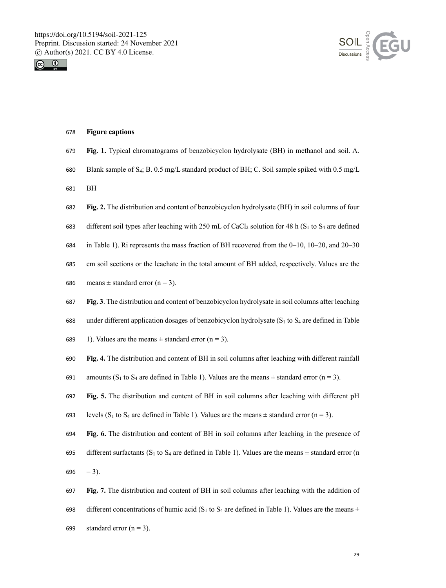



#### 678 **Figure captions**

- 679 **Fig. 1.** Typical chromatograms of benzobicyclon hydrolysate (BH) in methanol and soil. A.
- 680 Blank sample of S4; B. 0.5 mg/L standard product of BH; C. Soil sample spiked with 0.5 mg/L
- 681 BH
- 682 **Fig. 2.** The distribution and content of benzobicyclon hydrolysate (BH) in soil columns of four
- 683 different soil types after leaching with 250 mL of CaCl<sub>2</sub> solution for 48 h (S<sub>1</sub> to S<sub>4</sub> are defined
- 684 in Table 1). Ri represents the mass fraction of BH recovered from the 0–10, 10–20, and 20–30
- 685 cm soil sections or the leachate in the total amount of BH added, respectively. Values are the
- 686 means  $\pm$  standard error (n = 3).
- 687 **Fig. 3**. The distribution and content of benzobicyclon hydrolysate in soil columns after leaching
- 688 under different application dosages of benzobicyclon hydrolysate  $(S_1 \text{ to } S_4 \text{ are defined in Table})$
- 689 1). Values are the means  $\pm$  standard error (n = 3).
- 690 **Fig. 4.** The distribution and content of BH in soil columns after leaching with different rainfall
- 691 amounts (S<sub>1</sub> to S<sub>4</sub> are defined in Table 1). Values are the means  $\pm$  standard error (n = 3).

692 **Fig. 5.** The distribution and content of BH in soil columns after leaching with different pH

- 693 levels (S<sub>1</sub> to S<sub>4</sub> are defined in Table 1). Values are the means  $\pm$  standard error (n = 3).
- 694 **Fig. 6.** The distribution and content of BH in soil columns after leaching in the presence of 695 different surfactants (S<sub>1</sub> to S<sub>4</sub> are defined in Table 1). Values are the means  $\pm$  standard error (n 696  $= 3$ ).
- 697 **Fig. 7.** The distribution and content of BH in soil columns after leaching with the addition of 698 different concentrations of humic acid (S<sub>1</sub> to S<sub>4</sub> are defined in Table 1). Values are the means  $\pm$ 699 standard error  $(n = 3)$ .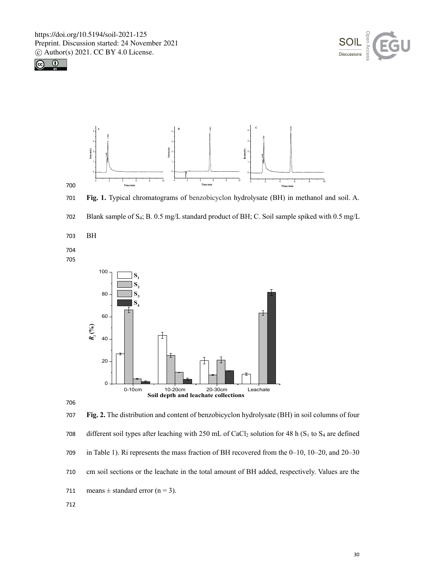





701 **Fig. 1.** Typical chromatograms of benzobicyclon hydrolysate (BH) in methanol and soil. A.



703 BH

704 705





707 **Fig. 2.** The distribution and content of benzobicyclon hydrolysate (BH) in soil columns of four 708 different soil types after leaching with 250 mL of CaCl<sub>2</sub> solution for 48 h (S<sub>1</sub> to S<sub>4</sub> are defined 709 in Table 1). Ri represents the mass fraction of BH recovered from the 0–10, 10–20, and 20–30 710 cm soil sections or the leachate in the total amount of BH added, respectively. Values are the 711 means  $\pm$  standard error (n = 3). 712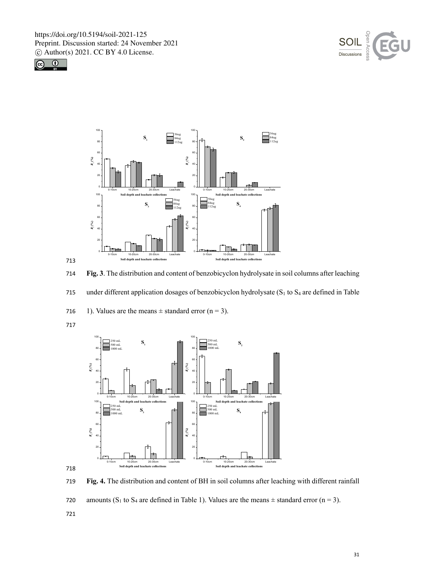







714 **Fig. 3**. The distribution and content of benzobicyclon hydrolysate in soil columns after leaching

715 under different application dosages of benzobicyclon hydrolysate (S<sub>1</sub> to S<sub>4</sub> are defined in Table



717





719 **Fig. 4.** The distribution and content of BH in soil columns after leaching with different rainfall

720 amounts (S<sub>1</sub> to S<sub>4</sub> are defined in Table 1). Values are the means  $\pm$  standard error (n = 3).

721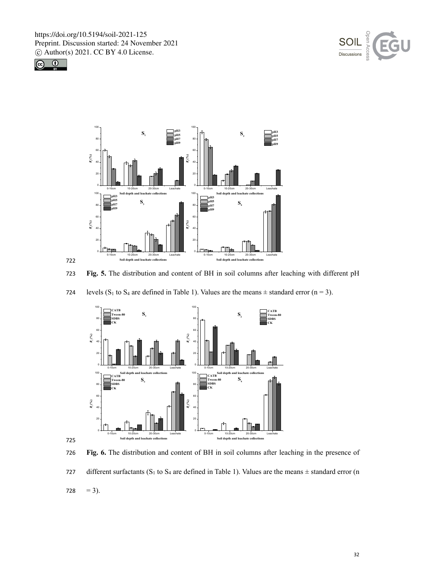





723 **Fig. 5.** The distribution and content of BH in soil columns after leaching with different pH





725

722

726 **Fig. 6.** The distribution and content of BH in soil columns after leaching in the presence of 727 different surfactants (S<sub>1</sub> to S<sub>4</sub> are defined in Table 1). Values are the means  $\pm$  standard error (n 728  $= 3$ ).